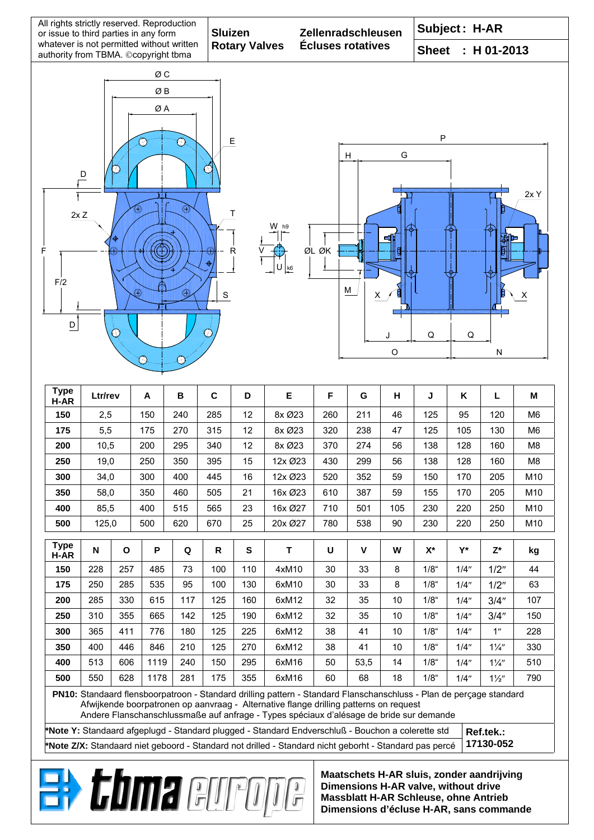| All rights strictly reserved. Reproduction<br>or issue to third parties in any form                            |                     |              |            |     | <b>Sluizen</b> |                      |                                                                                                                                                                                                                                                                                                         | Zellenradschleusen       |                               |    | Subject: H-AR            |       |                          |                |  |
|----------------------------------------------------------------------------------------------------------------|---------------------|--------------|------------|-----|----------------|----------------------|---------------------------------------------------------------------------------------------------------------------------------------------------------------------------------------------------------------------------------------------------------------------------------------------------------|--------------------------|-------------------------------|----|--------------------------|-------|--------------------------|----------------|--|
| whatever is not permitted without written<br>authority from TBMA. ©copyright tbma                              |                     |              |            |     |                | <b>Rotary Valves</b> |                                                                                                                                                                                                                                                                                                         | <b>Écluses rotatives</b> | <b>Sheet</b><br>$: H 01-2013$ |    |                          |       |                          |                |  |
|                                                                                                                |                     |              | ØС         |     |                |                      |                                                                                                                                                                                                                                                                                                         |                          |                               |    |                          |       |                          |                |  |
| ØB                                                                                                             |                     |              |            |     |                |                      |                                                                                                                                                                                                                                                                                                         |                          |                               |    |                          |       |                          |                |  |
| ØΑ                                                                                                             |                     |              |            |     |                |                      |                                                                                                                                                                                                                                                                                                         |                          |                               |    |                          |       |                          |                |  |
|                                                                                                                |                     |              |            |     |                |                      |                                                                                                                                                                                                                                                                                                         |                          |                               |    |                          |       |                          |                |  |
| P<br>Е<br>୧୫                                                                                                   |                     |              |            |     |                |                      |                                                                                                                                                                                                                                                                                                         |                          |                               |    |                          |       |                          |                |  |
| G<br>H                                                                                                         |                     |              |            |     |                |                      |                                                                                                                                                                                                                                                                                                         |                          |                               |    |                          |       |                          |                |  |
| $\overline{D}$                                                                                                 |                     |              |            |     |                |                      |                                                                                                                                                                                                                                                                                                         |                          |                               |    |                          |       |                          |                |  |
| 2xY                                                                                                            |                     |              |            |     |                |                      |                                                                                                                                                                                                                                                                                                         |                          |                               |    |                          |       |                          |                |  |
| ⊕<br>Τ                                                                                                         |                     |              |            |     |                |                      |                                                                                                                                                                                                                                                                                                         |                          |                               |    |                          |       |                          |                |  |
| 2xZ<br>W                                                                                                       |                     |              |            |     |                |                      |                                                                                                                                                                                                                                                                                                         |                          |                               |    |                          |       |                          |                |  |
| ΞĪ                                                                                                             |                     |              |            |     |                |                      |                                                                                                                                                                                                                                                                                                         |                          |                               |    |                          |       |                          |                |  |
| ØL ØK<br>$\mathsf{R}$<br>F<br>ė                                                                                |                     |              |            |     |                |                      |                                                                                                                                                                                                                                                                                                         |                          |                               |    |                          |       |                          |                |  |
| k6                                                                                                             |                     |              |            |     |                |                      |                                                                                                                                                                                                                                                                                                         |                          |                               |    |                          |       |                          |                |  |
| F/2<br>M<br>$^\circledR$<br>⊕<br>$\mathsf S$<br>х                                                              |                     |              |            |     |                |                      |                                                                                                                                                                                                                                                                                                         |                          |                               |    |                          |       |                          |                |  |
|                                                                                                                |                     |              |            |     |                |                      |                                                                                                                                                                                                                                                                                                         |                          |                               |    |                          |       |                          |                |  |
| $\mathsf D$                                                                                                    |                     |              |            |     |                |                      |                                                                                                                                                                                                                                                                                                         |                          |                               |    |                          |       |                          |                |  |
| 21<br>Q<br>Q<br>J                                                                                              |                     |              |            |     |                |                      |                                                                                                                                                                                                                                                                                                         |                          |                               |    |                          |       |                          |                |  |
| $\circ$<br>N                                                                                                   |                     |              |            |     |                |                      |                                                                                                                                                                                                                                                                                                         |                          |                               |    |                          |       |                          |                |  |
|                                                                                                                |                     |              |            |     |                |                      |                                                                                                                                                                                                                                                                                                         |                          |                               |    |                          |       |                          |                |  |
| <b>Type</b><br>H-AR                                                                                            | Ltr/rev             |              | A          | B   | $\mathbf c$    | D                    | Е                                                                                                                                                                                                                                                                                                       | F                        | G                             | н  | J                        | Κ     | L                        | м              |  |
| 150                                                                                                            | 2,5                 |              | 150        | 240 | 285            | 12                   | 8x Ø23                                                                                                                                                                                                                                                                                                  | 260                      | 211                           | 46 | 125                      | 95    | 120                      | M <sub>6</sub> |  |
| 175                                                                                                            | 5,5                 |              | 175        | 270 | 315            | 12                   | 8x Ø23                                                                                                                                                                                                                                                                                                  | 320                      | 238                           | 47 | 125                      | 105   | 130                      | M6             |  |
| 200                                                                                                            | 10,5                |              | 200        | 295 | 340            | 12                   | 8x Ø23                                                                                                                                                                                                                                                                                                  | 370                      | 274                           | 56 | 138                      | 128   | 160                      | M <sub>8</sub> |  |
| 250                                                                                                            | 19,0                |              | 250<br>350 |     | 395            | 15                   | 12x Ø23                                                                                                                                                                                                                                                                                                 | 430                      | 299                           | 56 | 138                      | 128   | 160                      | M <sub>8</sub> |  |
| 300                                                                                                            | 34,0                |              | 300        | 400 | 445            | 16                   | 12x Ø23                                                                                                                                                                                                                                                                                                 | 520                      | 352                           | 59 | 150                      | 170   | 205                      | M10            |  |
| 350                                                                                                            | 58,0                |              | 350        | 460 | 505<br>21      |                      | 16x Ø23                                                                                                                                                                                                                                                                                                 | 610                      | 387                           | 59 | 155                      | 170   | 205                      | M10            |  |
| 400                                                                                                            | 85,5                |              | 400<br>515 |     | 565<br>670     | 23<br>25             | 16x Ø27                                                                                                                                                                                                                                                                                                 | 710                      | 501<br>105<br>538<br>90       |    | 230<br>220<br>230<br>220 |       | 250<br>M10<br>250<br>M10 |                |  |
| 500                                                                                                            | 620<br>125,0<br>500 |              |            |     |                | 20x Ø27              | 780                                                                                                                                                                                                                                                                                                     |                          |                               |    |                          |       |                          |                |  |
| <b>Type</b><br>H-AR                                                                                            | N                   | $\mathbf{o}$ | P          | Q   | R              | ${\bf S}$            | T                                                                                                                                                                                                                                                                                                       | U                        | $\mathbf v$                   | W  | $\mathsf{X}^\star$       | $Y^*$ | $Z^*$                    | kg             |  |
| 150                                                                                                            | 228                 | 257          | 485        | 73  | 100            | 110                  | 4xM10                                                                                                                                                                                                                                                                                                   | 30                       | 33                            | 8  | $1/8$ "                  | 1/4"  | 1/2"                     | 44             |  |
| 175                                                                                                            | 250                 | 285          | 535        | 95  | 100            | 130                  | 6xM10                                                                                                                                                                                                                                                                                                   | 30                       | 33                            | 8  | $1/8$ "                  | 1/4"  | 1/2"                     | 63             |  |
| 200                                                                                                            | 285                 | 330          | 615        | 117 | 125            | 160                  | 6xM12                                                                                                                                                                                                                                                                                                   | 32                       | 35                            | 10 | $1/8$ "                  | 1/4"  | 3/4''                    | 107            |  |
| 250                                                                                                            | 310                 | 355          | 665        | 142 | 125            | 190                  | 6xM12                                                                                                                                                                                                                                                                                                   | 32                       | 35                            | 10 | $1/8$ "                  | 1/4"  | 3/4"                     | 150            |  |
| 300                                                                                                            | 365                 | 411          | 776        | 180 | 125            | 225                  | 6xM12                                                                                                                                                                                                                                                                                                   | 38                       | 41                            | 10 | $1/8$ "                  | 1/4"  | 1"                       | 228            |  |
| 350                                                                                                            | 400                 | 446          | 846        | 210 | 125            | 270                  | 6xM12                                                                                                                                                                                                                                                                                                   | 38                       | 41                            | 10 | $1/8$ "                  | 1/4"  | $1\frac{1}{4}$           | 330            |  |
| 400                                                                                                            | 513                 | 606          | 1119       | 240 | 150            | 295                  | 6xM16                                                                                                                                                                                                                                                                                                   | 50                       | 53,5                          | 14 | $1/8$ "                  | 1/4"  | $1\frac{1}{4}$           | 510            |  |
| 500                                                                                                            | 550                 | 628          | 1178       | 281 | 175            | 355                  | 6xM16                                                                                                                                                                                                                                                                                                   | 60                       | 68                            | 18 | $1/8^{\circ}$            | 1/4"  | $1\frac{1}{2}$           | 790            |  |
|                                                                                                                |                     |              |            |     |                |                      | PN10: Standaard flensboorpatroon - Standard drilling pattern - Standard Flanschanschluss - Plan de perçage standard<br>Afwijkende boorpatronen op aanvraag - Alternative flange drilling patterns on request<br>Andere Flanschanschlussmaße auf anfrage - Types spéciaux d'alésage de bride sur demande |                          |                               |    |                          |       |                          |                |  |
| *Note Y: Standaard afgeplugd - Standard plugged - Standard Endverschluß - Bouchon a colerette std<br>Ref.tek.: |                     |              |            |     |                |                      |                                                                                                                                                                                                                                                                                                         |                          |                               |    |                          |       |                          |                |  |

**\*Note Z/X:** Standaard niet geboord - Standard not drilled - Standard nicht geborht - Standard pas percé **17130-052** 



**Maatschets H-AR sluis, zonder aandrijving Dimensions H-AR valve, without drive Massblatt H-AR Schleuse, ohne Antrieb Dimensions d'écluse H-AR, sans commande**